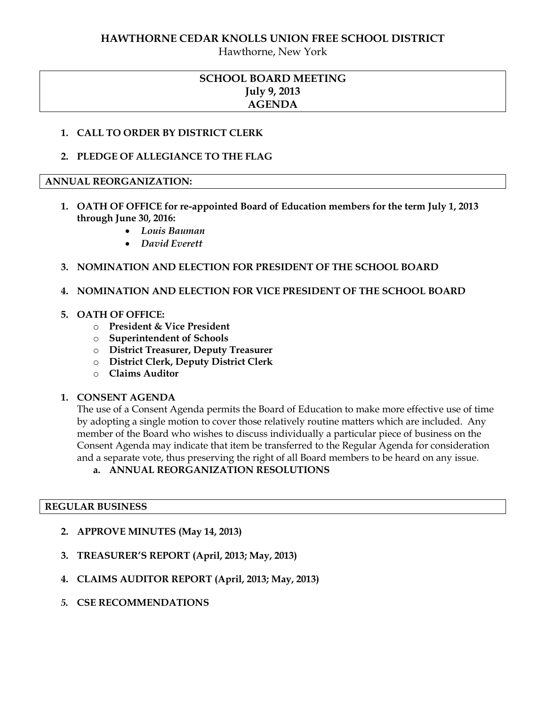### **HAWTHORNE CEDAR KNOLLS UNION FREE SCHOOL DISTRICT**

Hawthorne, New York

# **SCHOOL BOARD MEETING July 9, 2013 AGENDA**

#### **1. CALL TO ORDER BY DISTRICT CLERK**

**2. PLEDGE OF ALLEGIANCE TO THE FLAG**

#### **ANNUAL REORGANIZATION:**

- **1. OATH OF OFFICE for re-appointed Board of Education members for the term July 1, 2013 through June 30, 2016:** 
	- *Louis Bauman*
	- *David Everett*

### **3. NOMINATION AND ELECTION FOR PRESIDENT OF THE SCHOOL BOARD**

**4. NOMINATION AND ELECTION FOR VICE PRESIDENT OF THE SCHOOL BOARD** 

#### **5. OATH OF OFFICE:**

- o **President & Vice President**
- o **Superintendent of Schools**
- o **District Treasurer, Deputy Treasurer**
- o **District Clerk, Deputy District Clerk**
- o **Claims Auditor**

#### **1. CONSENT AGENDA**

The use of a Consent Agenda permits the Board of Education to make more effective use of time by adopting a single motion to cover those relatively routine matters which are included. Any member of the Board who wishes to discuss individually a particular piece of business on the Consent Agenda may indicate that item be transferred to the Regular Agenda for consideration and a separate vote, thus preserving the right of all Board members to be heard on any issue.

### **a. ANNUAL REORGANIZATION RESOLUTIONS**

#### **REGULAR BUSINESS**

- **2. APPROVE MINUTES (May 14, 2013)**
- **3. TREASURER'S REPORT (April, 2013; May, 2013)**
- **4. CLAIMS AUDITOR REPORT (April, 2013; May, 2013)**
- *5.* **CSE RECOMMENDATIONS**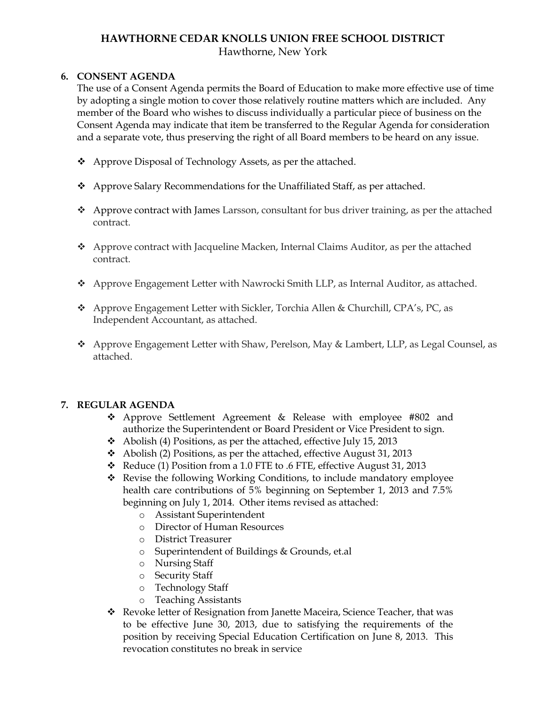## **HAWTHORNE CEDAR KNOLLS UNION FREE SCHOOL DISTRICT** Hawthorne, New York

## **6. CONSENT AGENDA**

The use of a Consent Agenda permits the Board of Education to make more effective use of time by adopting a single motion to cover those relatively routine matters which are included. Any member of the Board who wishes to discuss individually a particular piece of business on the Consent Agenda may indicate that item be transferred to the Regular Agenda for consideration and a separate vote, thus preserving the right of all Board members to be heard on any issue.

- ◆ Approve Disposal of Technology Assets, as per the attached.
- Approve Salary Recommendations for the Unaffiliated Staff, as per attached.
- $\triangle$  Approve contract with James Larsson, consultant for bus driver training, as per the attached contract.
- $\triangle$  Approve contract with Jacqueline Macken, Internal Claims Auditor, as per the attached contract.
- Approve Engagement Letter with Nawrocki Smith LLP, as Internal Auditor, as attached.
- Approve Engagement Letter with Sickler, Torchia Allen & Churchill, CPA's, PC, as Independent Accountant, as attached.
- Approve Engagement Letter with Shaw, Perelson, May & Lambert, LLP, as Legal Counsel, as attached.

## **7. REGULAR AGENDA**

- Approve Settlement Agreement & Release with employee #802 and authorize the Superintendent or Board President or Vice President to sign.
- Abolish (4) Positions, as per the attached, effective July 15, 2013
- Abolish (2) Positions, as per the attached, effective August 31, 2013
- Reduce (1) Position from a 1.0 FTE to .6 FTE, effective August 31, 2013
- Revise the following Working Conditions, to include mandatory employee health care contributions of 5% beginning on September 1, 2013 and 7.5% beginning on July 1, 2014. Other items revised as attached:
	- o Assistant Superintendent
	- o Director of Human Resources
	- o District Treasurer
	- o Superintendent of Buildings & Grounds, et.al
	- o Nursing Staff
	- o Security Staff
	- o Technology Staff
	- o Teaching Assistants
- Revoke letter of Resignation from Janette Maceira, Science Teacher, that was to be effective June 30, 2013, due to satisfying the requirements of the position by receiving Special Education Certification on June 8, 2013. This revocation constitutes no break in service